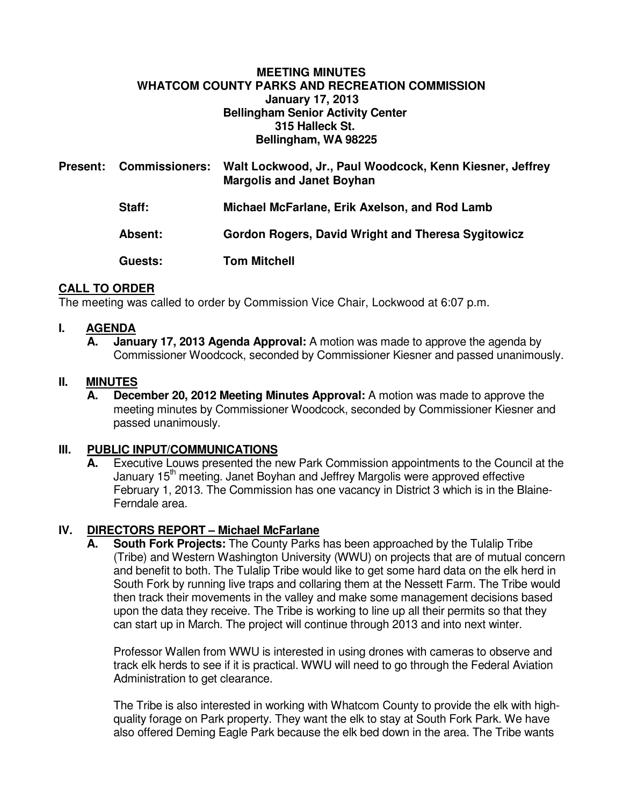# **MEETING MINUTES WHATCOM COUNTY PARKS AND RECREATION COMMISSION January 17, 2013 Bellingham Senior Activity Center 315 Halleck St. Bellingham, WA 98225**

| <b>Present:</b> | <b>Commissioners:</b> | Walt Lockwood, Jr., Paul Woodcock, Kenn Kiesner, Jeffrey<br><b>Margolis and Janet Boyhan</b> |
|-----------------|-----------------------|----------------------------------------------------------------------------------------------|
|                 | <b>Staff:</b>         | Michael McFarlane, Erik Axelson, and Rod Lamb                                                |
|                 | Absent:               | Gordon Rogers, David Wright and Theresa Sygitowicz                                           |
|                 | Guests:               | <b>Tom Mitchell</b>                                                                          |

# **CALL TO ORDER**

The meeting was called to order by Commission Vice Chair, Lockwood at 6:07 p.m.

# **I. AGENDA**

**January 17, 2013 Agenda Approval:** A motion was made to approve the agenda by Commissioner Woodcock, seconded by Commissioner Kiesner and passed unanimously.

# **II. MINUTES**

**A. December 20, 2012 Meeting Minutes Approval:** A motion was made to approve the meeting minutes by Commissioner Woodcock, seconded by Commissioner Kiesner and passed unanimously.

# **III. PUBLIC INPUT/COMMUNICATIONS**

Executive Louws presented the new Park Commission appointments to the Council at the January  $15<sup>th</sup>$  meeting. Janet Boyhan and Jeffrey Margolis were approved effective February 1, 2013. The Commission has one vacancy in District 3 which is in the Blaine-Ferndale area.

#### **IV. DIRECTORS REPORT – Michael McFarlane**

 **A. South Fork Projects:** The County Parks has been approached by the Tulalip Tribe (Tribe) and Western Washington University (WWU) on projects that are of mutual concern and benefit to both. The Tulalip Tribe would like to get some hard data on the elk herd in South Fork by running live traps and collaring them at the Nessett Farm. The Tribe would then track their movements in the valley and make some management decisions based upon the data they receive. The Tribe is working to line up all their permits so that they can start up in March. The project will continue through 2013 and into next winter.

Professor Wallen from WWU is interested in using drones with cameras to observe and track elk herds to see if it is practical. WWU will need to go through the Federal Aviation Administration to get clearance.

The Tribe is also interested in working with Whatcom County to provide the elk with highquality forage on Park property. They want the elk to stay at South Fork Park. We have also offered Deming Eagle Park because the elk bed down in the area. The Tribe wants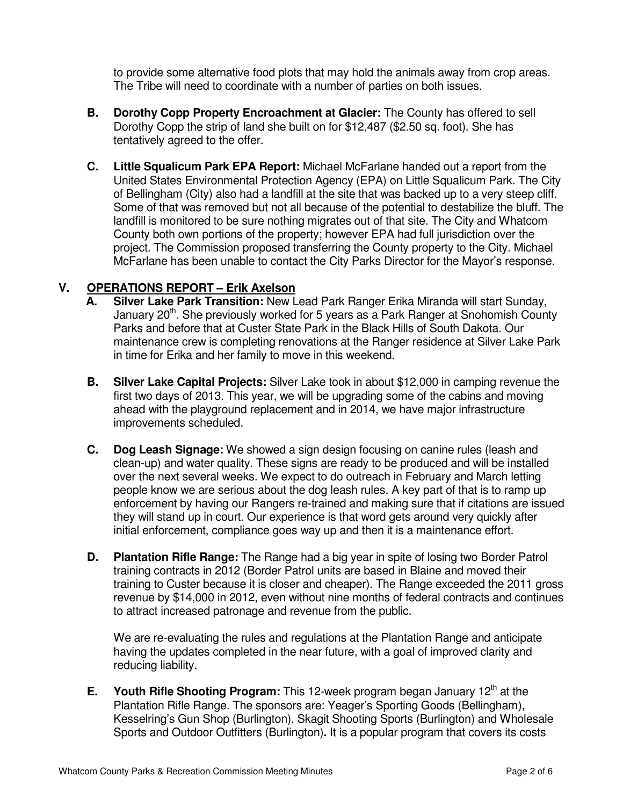to provide some alternative food plots that may hold the animals away from crop areas. The Tribe will need to coordinate with a number of parties on both issues.

- **B. Dorothy Copp Property Encroachment at Glacier:** The County has offered to sell Dorothy Copp the strip of land she built on for \$12,487 (\$2.50 sq. foot). She has tentatively agreed to the offer.
- **C. Little Squalicum Park EPA Report:** Michael McFarlane handed out a report from the United States Environmental Protection Agency (EPA) on Little Squalicum Park. The City of Bellingham (City) also had a landfill at the site that was backed up to a very steep cliff. Some of that was removed but not all because of the potential to destabilize the bluff. The landfill is monitored to be sure nothing migrates out of that site. The City and Whatcom County both own portions of the property; however EPA had full jurisdiction over the project. The Commission proposed transferring the County property to the City. Michael McFarlane has been unable to contact the City Parks Director for the Mayor's response.

# **V. OPERATIONS REPORT – Erik Axelson**

- **A. Silver Lake Park Transition:** New Lead Park Ranger Erika Miranda will start Sunday, January  $20<sup>th</sup>$ . She previously worked for 5 years as a Park Ranger at Snohomish County Parks and before that at Custer State Park in the Black Hills of South Dakota. Our maintenance crew is completing renovations at the Ranger residence at Silver Lake Park in time for Erika and her family to move in this weekend.
- **B. Silver Lake Capital Projects:** Silver Lake took in about \$12,000 in camping revenue the first two days of 2013. This year, we will be upgrading some of the cabins and moving ahead with the playground replacement and in 2014, we have major infrastructure improvements scheduled.
- **C. Dog Leash Signage:** We showed a sign design focusing on canine rules (leash and clean-up) and water quality. These signs are ready to be produced and will be installed over the next several weeks. We expect to do outreach in February and March letting people know we are serious about the dog leash rules. A key part of that is to ramp up enforcement by having our Rangers re-trained and making sure that if citations are issued they will stand up in court. Our experience is that word gets around very quickly after initial enforcement, compliance goes way up and then it is a maintenance effort.
- **D. Plantation Rifle Range:** The Range had a big year in spite of losing two Border Patrol training contracts in 2012 (Border Patrol units are based in Blaine and moved their training to Custer because it is closer and cheaper). The Range exceeded the 2011 gross revenue by \$14,000 in 2012, even without nine months of federal contracts and continues to attract increased patronage and revenue from the public.

We are re-evaluating the rules and regulations at the Plantation Range and anticipate having the updates completed in the near future, with a goal of improved clarity and reducing liability.

**E.** Youth Rifle Shooting Program: This 12-week program began January 12<sup>th</sup> at the Plantation Rifle Range. The sponsors are: Yeager's Sporting Goods (Bellingham), Kesselring's Gun Shop (Burlington), Skagit Shooting Sports (Burlington) and Wholesale Sports and Outdoor Outfitters (Burlington)**.** It is a popular program that covers its costs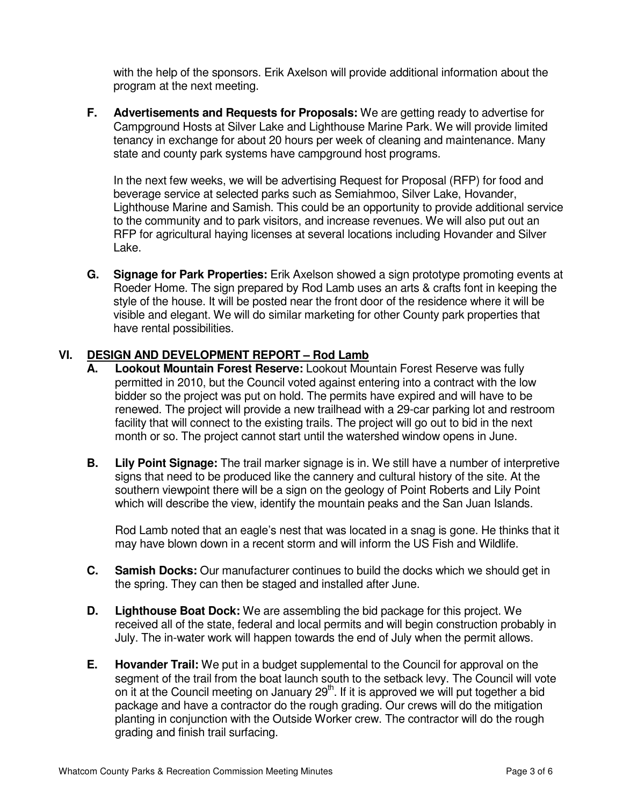with the help of the sponsors. Erik Axelson will provide additional information about the program at the next meeting.

**F. Advertisements and Requests for Proposals:** We are getting ready to advertise for Campground Hosts at Silver Lake and Lighthouse Marine Park. We will provide limited tenancy in exchange for about 20 hours per week of cleaning and maintenance. Many state and county park systems have campground host programs.

 In the next few weeks, we will be advertising Request for Proposal (RFP) for food and beverage service at selected parks such as Semiahmoo, Silver Lake, Hovander, Lighthouse Marine and Samish. This could be an opportunity to provide additional service to the community and to park visitors, and increase revenues. We will also put out an RFP for agricultural haying licenses at several locations including Hovander and Silver Lake.

**G. Signage for Park Properties:** Erik Axelson showed a sign prototype promoting events at Roeder Home. The sign prepared by Rod Lamb uses an arts & crafts font in keeping the style of the house. It will be posted near the front door of the residence where it will be visible and elegant. We will do similar marketing for other County park properties that have rental possibilities.

# **VI. DESIGN AND DEVELOPMENT REPORT – Rod Lamb**

- **A. Lookout Mountain Forest Reserve:** Lookout Mountain Forest Reserve was fully permitted in 2010, but the Council voted against entering into a contract with the low bidder so the project was put on hold. The permits have expired and will have to be renewed. The project will provide a new trailhead with a 29-car parking lot and restroom facility that will connect to the existing trails. The project will go out to bid in the next month or so. The project cannot start until the watershed window opens in June.
- **B. Lily Point Signage:** The trail marker signage is in. We still have a number of interpretive signs that need to be produced like the cannery and cultural history of the site. At the southern viewpoint there will be a sign on the geology of Point Roberts and Lily Point which will describe the view, identify the mountain peaks and the San Juan Islands.

Rod Lamb noted that an eagle's nest that was located in a snag is gone. He thinks that it may have blown down in a recent storm and will inform the US Fish and Wildlife.

- **C. Samish Docks:** Our manufacturer continues to build the docks which we should get in the spring. They can then be staged and installed after June.
- **D. Lighthouse Boat Dock:** We are assembling the bid package for this project. We received all of the state, federal and local permits and will begin construction probably in July. The in-water work will happen towards the end of July when the permit allows.
- **E. Hovander Trail:** We put in a budget supplemental to the Council for approval on the segment of the trail from the boat launch south to the setback levy. The Council will vote on it at the Council meeting on January  $29<sup>th</sup>$ . If it is approved we will put together a bid package and have a contractor do the rough grading. Our crews will do the mitigation planting in conjunction with the Outside Worker crew. The contractor will do the rough grading and finish trail surfacing.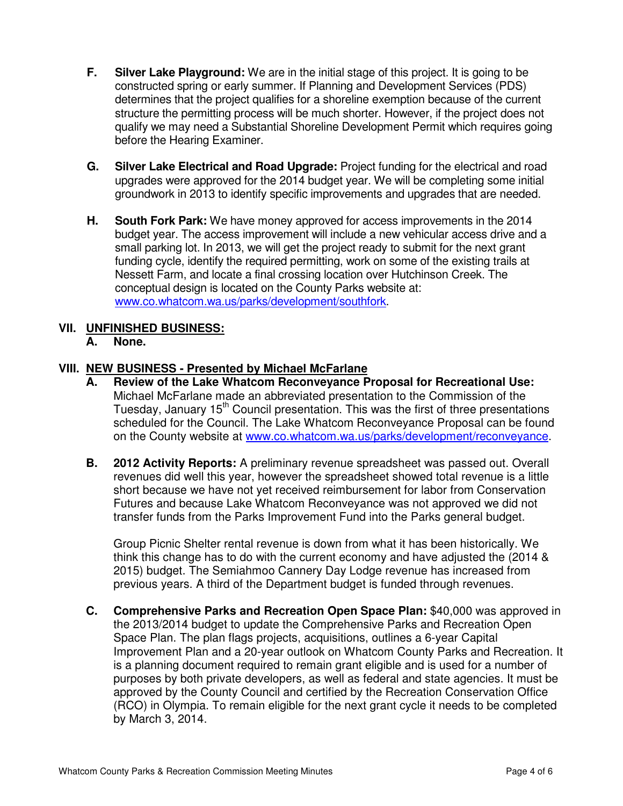- **F. Silver Lake Playground:** We are in the initial stage of this project. It is going to be constructed spring or early summer. If Planning and Development Services (PDS) determines that the project qualifies for a shoreline exemption because of the current structure the permitting process will be much shorter. However, if the project does not qualify we may need a Substantial Shoreline Development Permit which requires going before the Hearing Examiner.
- **G. Silver Lake Electrical and Road Upgrade:** Project funding for the electrical and road upgrades were approved for the 2014 budget year. We will be completing some initial groundwork in 2013 to identify specific improvements and upgrades that are needed.
- **H. South Fork Park:** We have money approved for access improvements in the 2014 budget year. The access improvement will include a new vehicular access drive and a small parking lot. In 2013, we will get the project ready to submit for the next grant funding cycle, identify the required permitting, work on some of the existing trails at Nessett Farm, and locate a final crossing location over Hutchinson Creek. The conceptual design is located on the County Parks website at: www.co.whatcom.wa.us/parks/development/southfork.

# **VII. UNFINISHED BUSINESS:**

**A. None.** 

# **VIII. NEW BUSINESS - Presented by Michael McFarlane**

- **A. Review of the Lake Whatcom Reconveyance Proposal for Recreational Use:**  Michael McFarlane made an abbreviated presentation to the Commission of the Tuesday, January 15<sup>th</sup> Council presentation. This was the first of three presentations scheduled for the Council. The Lake Whatcom Reconveyance Proposal can be found on the County website at www.co.whatcom.wa.us/parks/development/reconveyance.
- **B. 2012 Activity Reports:** A preliminary revenue spreadsheet was passed out. Overall revenues did well this year, however the spreadsheet showed total revenue is a little short because we have not yet received reimbursement for labor from Conservation Futures and because Lake Whatcom Reconveyance was not approved we did not transfer funds from the Parks Improvement Fund into the Parks general budget.

Group Picnic Shelter rental revenue is down from what it has been historically. We think this change has to do with the current economy and have adjusted the (2014 & 2015) budget. The Semiahmoo Cannery Day Lodge revenue has increased from previous years. A third of the Department budget is funded through revenues.

**C. Comprehensive Parks and Recreation Open Space Plan:** \$40,000 was approved in the 2013/2014 budget to update the Comprehensive Parks and Recreation Open Space Plan. The plan flags projects, acquisitions, outlines a 6-year Capital Improvement Plan and a 20-year outlook on Whatcom County Parks and Recreation. It is a planning document required to remain grant eligible and is used for a number of purposes by both private developers, as well as federal and state agencies. It must be approved by the County Council and certified by the Recreation Conservation Office (RCO) in Olympia. To remain eligible for the next grant cycle it needs to be completed by March 3, 2014.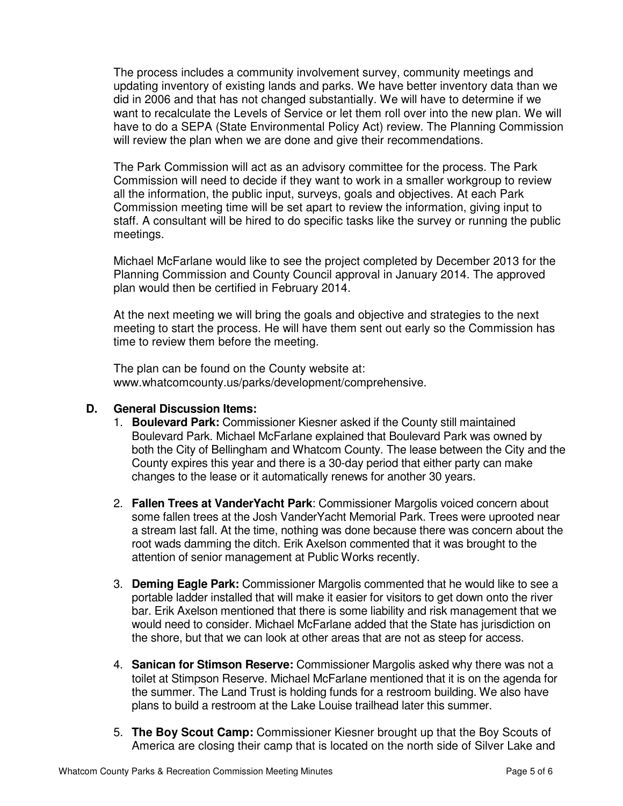The process includes a community involvement survey, community meetings and updating inventory of existing lands and parks. We have better inventory data than we did in 2006 and that has not changed substantially. We will have to determine if we want to recalculate the Levels of Service or let them roll over into the new plan. We will have to do a SEPA (State Environmental Policy Act) review. The Planning Commission will review the plan when we are done and give their recommendations.

The Park Commission will act as an advisory committee for the process. The Park Commission will need to decide if they want to work in a smaller workgroup to review all the information, the public input, surveys, goals and objectives. At each Park Commission meeting time will be set apart to review the information, giving input to staff. A consultant will be hired to do specific tasks like the survey or running the public meetings.

Michael McFarlane would like to see the project completed by December 2013 for the Planning Commission and County Council approval in January 2014. The approved plan would then be certified in February 2014.

At the next meeting we will bring the goals and objective and strategies to the next meeting to start the process. He will have them sent out early so the Commission has time to review them before the meeting.

The plan can be found on the County website at: www.whatcomcounty.us/parks/development/comprehensive.

#### **D. General Discussion Items:**

- 1. **Boulevard Park:** Commissioner Kiesner asked if the County still maintained Boulevard Park. Michael McFarlane explained that Boulevard Park was owned by both the City of Bellingham and Whatcom County. The lease between the City and the County expires this year and there is a 30-day period that either party can make changes to the lease or it automatically renews for another 30 years.
- 2. **Fallen Trees at VanderYacht Park**: Commissioner Margolis voiced concern about some fallen trees at the Josh VanderYacht Memorial Park. Trees were uprooted near a stream last fall. At the time, nothing was done because there was concern about the root wads damming the ditch. Erik Axelson commented that it was brought to the attention of senior management at Public Works recently.
- 3. **Deming Eagle Park:** Commissioner Margolis commented that he would like to see a portable ladder installed that will make it easier for visitors to get down onto the river bar. Erik Axelson mentioned that there is some liability and risk management that we would need to consider. Michael McFarlane added that the State has jurisdiction on the shore, but that we can look at other areas that are not as steep for access.
- 4. **Sanican for Stimson Reserve:** Commissioner Margolis asked why there was not a toilet at Stimpson Reserve. Michael McFarlane mentioned that it is on the agenda for the summer. The Land Trust is holding funds for a restroom building. We also have plans to build a restroom at the Lake Louise trailhead later this summer.
- 5. **The Boy Scout Camp:** Commissioner Kiesner brought up that the Boy Scouts of America are closing their camp that is located on the north side of Silver Lake and